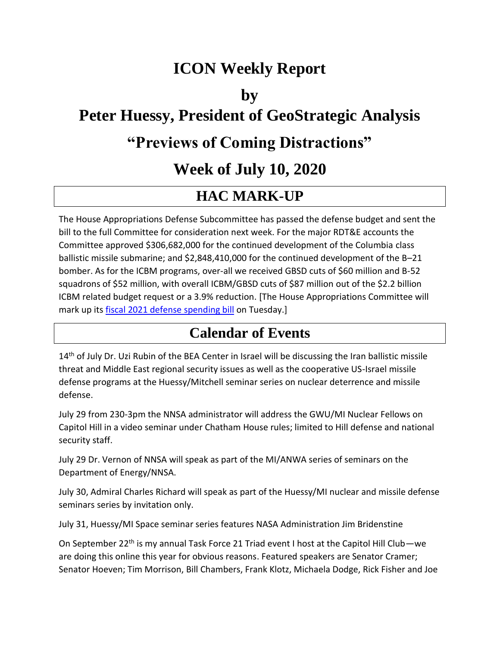### **ICON Weekly Report**

#### **by**

## **Peter Huessy, President of GeoStrategic Analysis**

### **"Previews of Coming Distractions"**

### **Week of July 10, 2020**

#### **HAC MARK-UP**

The House Appropriations Defense Subcommittee has passed the defense budget and sent the bill to the full Committee for consideration next week. For the major RDT&E accounts the Committee approved \$306,682,000 for the continued development of the Columbia class ballistic missile submarine; and \$2,848,410,000 for the continued development of the B–21 bomber. As for the ICBM programs, over-all we received GBSD cuts of \$60 million and B-52 squadrons of \$52 million, with overall ICBM/GBSD cuts of \$87 million out of the \$2.2 billion ICBM related budget request or a 3.9% reduction. [The House Appropriations Committee will mark up its [fiscal 2021 defense spending bill](https://nam03.safelinks.protection.outlook.com/?url=https%3A%2F%2Fsubscriber.politicopro.com%2Flegislative-compass%2Fbill%2FUS_116_HR_DRAFT62%3Fsource%3Demail&data=02%7C01%7C%7C10c1251c95dc4759f07308d824f3d341%7Cf859a9b6f0be470bab687d418ac3866c%7C0%7C0%7C637299976941862619&sdata=fs4NX5wYkDdOcXY1kB7h7tZEN%2BQI4fzy8DZGw9fU3bk%3D&reserved=0) on Tuesday.]

#### **Calendar of Events**

14<sup>th</sup> of July Dr. Uzi Rubin of the BEA Center in Israel will be discussing the Iran ballistic missile threat and Middle East regional security issues as well as the cooperative US-Israel missile defense programs at the Huessy/Mitchell seminar series on nuclear deterrence and missile defense.

July 29 from 230-3pm the NNSA administrator will address the GWU/MI Nuclear Fellows on Capitol Hill in a video seminar under Chatham House rules; limited to Hill defense and national security staff.

July 29 Dr. Vernon of NNSA will speak as part of the MI/ANWA series of seminars on the Department of Energy/NNSA.

July 30, Admiral Charles Richard will speak as part of the Huessy/MI nuclear and missile defense seminars series by invitation only.

July 31, Huessy/MI Space seminar series features NASA Administration Jim Bridenstine

On September 22<sup>th</sup> is my annual Task Force 21 Triad event I host at the Capitol Hill Club—we are doing this online this year for obvious reasons. Featured speakers are Senator Cramer; Senator Hoeven; Tim Morrison, Bill Chambers, Frank Klotz, Michaela Dodge, Rick Fisher and Joe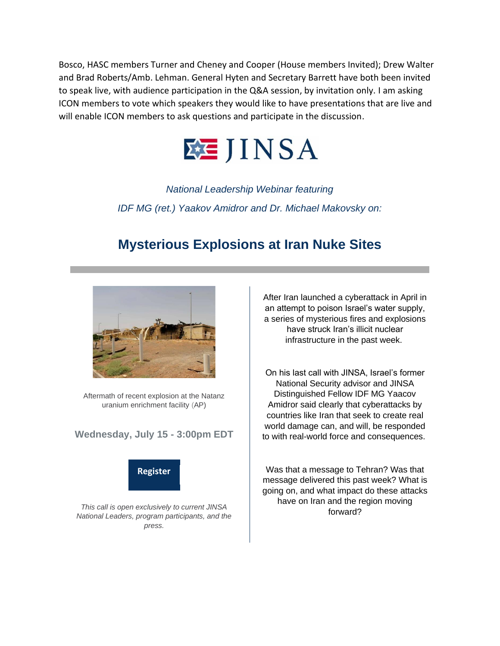Bosco, HASC members Turner and Cheney and Cooper (House members Invited); Drew Walter and Brad Roberts/Amb. Lehman. General Hyten and Secretary Barrett have both been invited to speak live, with audience participation in the Q&A session, by invitation only. I am asking ICON members to vote which speakers they would like to have presentations that are live and will enable ICON members to ask questions and participate in the discussion.



*National Leadership Webinar featuring IDF MG (ret.) Yaakov Amidror and Dr. Michael Makovsky on:*

#### **Mysterious Explosions at Iran Nuke Sites**



Aftermath of recent explosion at the Natanz uranium enrichment facility (AP)

#### **Wednesday, July 15 - 3:00pm EDT**



*This call is open exclusively to current JINSA National Leaders, program participants, and the press.*

After Iran launched a cyberattack in April in an attempt to poison Israel's water supply, a series of mysterious fires and explosions have struck Iran's illicit nuclear infrastructure in the past week.

On his last call with JINSA, Israel's former National Security advisor and JINSA Distinguished Fellow IDF MG Yaacov Amidror said clearly that cyberattacks by countries like Iran that seek to create real world damage can, and will, be responded to with real-world force and consequences.

Was that a message to Tehran? Was that message delivered this past week? What is going on, and what impact do these attacks have on Iran and the region moving forward?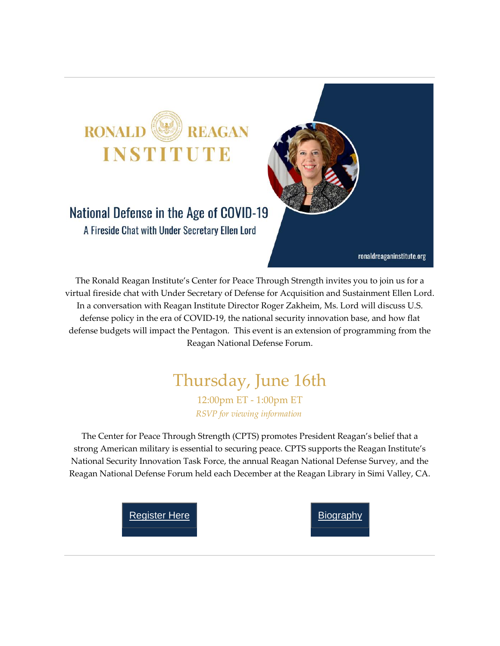

A Fireside Chat with Under Secretary Ellen Lord

ronaldreaganinstitute.org

The Ronald Reagan Institute's Center for Peace Through Strength invites you to join us for a virtual fireside chat with Under Secretary of Defense for Acquisition and Sustainment Ellen Lord. In a conversation with Reagan Institute Director Roger Zakheim, Ms. Lord will discuss U.S. defense policy in the era of COVID-19, the national security innovation base, and how flat defense budgets will impact the Pentagon. This event is an extension of programming from the Reagan National Defense Forum.

# Thursday, June 16th

12:00pm ET - 1:00pm ET *RSVP for viewing information*

The Center for Peace Through Strength (CPTS) promotes President Reagan's belief that a strong American military is essential to securing peace. CPTS supports the Reagan Institute's National Security Innovation Task Force, the annual Reagan National Defense Survey, and the Reagan National Defense Forum held each December at the Reagan Library in Simi Valley, CA.

[Register](https://nam03.safelinks.protection.outlook.com/?url=http%3A%2F%2Fclick.reply.reaganfoundation.org%2F%3Fqs%3Dbc26474caa0d617e5da7a978fb166ef653f74bb8ed6fcbf9708bcc2a303a1cba99ea2142646e01f073651a8464cbc19823cc24c48d650c48&data=02%7C01%7C%7Ca5d53fd565224b766dbc08d8243edea8%7Cf859a9b6f0be470bab687d418ac3866c%7C0%7C0%7C637299199735416367&sdata=OVgQTZ9uhml5VGOZb5v%2BaeJ1QjuJ8DGTDZFQKNC9rWI%3D&reserved=0) Here **[Biography](https://nam03.safelinks.protection.outlook.com/?url=http%3A%2F%2Fclick.reply.reaganfoundation.org%2F%3Fqs%3Dbc26474caa0d617e417cadac49f37f6fde9980a02c847579cd61bc44683ef3743e2da531c34e1a17a576992ab4e46688d32932fa8f7796ca&data=02%7C01%7C%7Ca5d53fd565224b766dbc08d8243edea8%7Cf859a9b6f0be470bab687d418ac3866c%7C0%7C0%7C637299199735426362&sdata=Gxqiv%2BvrdLUsWQF6drYyk4m41xkrchz93pQacf6xRro%3D&reserved=0)** 

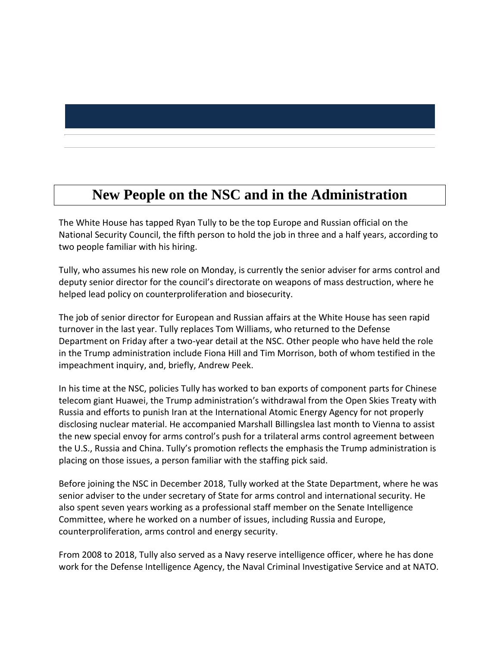### **New People on the NSC and in the Administration**

The White House has tapped Ryan Tully to be the top Europe and Russian official on the National Security Council, the fifth person to hold the job in three and a half years, according to two people familiar with his hiring.

Tully, who assumes his new role on Monday, is currently the senior adviser for arms control and deputy senior director for the council's directorate on weapons of mass destruction, where he helped lead policy on counterproliferation and biosecurity.

The job of senior director for European and Russian affairs at the White House has seen rapid turnover in the last year. Tully replaces Tom Williams, who returned to the Defense Department on Friday after a two-year detail at the NSC. Other people who have held the role in the Trump administration include Fiona Hill and Tim Morrison, both of whom testified in the impeachment inquiry, and, briefly, Andrew Peek.

In his time at the NSC, policies Tully has worked to ban exports of component parts for Chinese telecom giant Huawei, the Trump administration's withdrawal from the Open Skies Treaty with Russia and efforts to punish Iran at the International Atomic Energy Agency for not properly disclosing nuclear material. He accompanied Marshall Billingslea last month to Vienna to assist the new special envoy for arms control's push for a trilateral arms control agreement between the U.S., Russia and China. Tully's promotion reflects the emphasis the Trump administration is placing on those issues, a person familiar with the staffing pick said.

Before joining the NSC in December 2018, Tully worked at the State Department, where he was senior adviser to the under secretary of State for arms control and international security. He also spent seven years working as a professional staff member on the Senate Intelligence Committee, where he worked on a number of issues, including Russia and Europe, counterproliferation, arms control and energy security.

From 2008 to 2018, Tully also served as a Navy reserve intelligence officer, where he has done work for the Defense Intelligence Agency, the Naval Criminal Investigative Service and at NATO.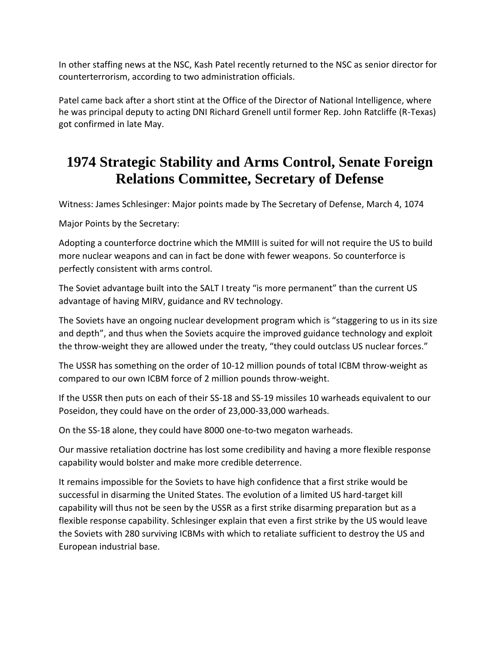In other staffing news at the NSC, Kash Patel recently returned to the NSC as senior director for counterterrorism, according to two administration officials.

Patel came back after a short stint at the Office of the Director of National Intelligence, where he was principal deputy to acting DNI Richard Grenell until former Rep. John Ratcliffe (R-Texas) got confirmed in late May.

### **1974 Strategic Stability and Arms Control, Senate Foreign Relations Committee, Secretary of Defense**

Witness: James Schlesinger: Major points made by The Secretary of Defense, March 4, 1074

Major Points by the Secretary:

Adopting a counterforce doctrine which the MMIII is suited for will not require the US to build more nuclear weapons and can in fact be done with fewer weapons. So counterforce is perfectly consistent with arms control.

The Soviet advantage built into the SALT I treaty "is more permanent" than the current US advantage of having MIRV, guidance and RV technology.

The Soviets have an ongoing nuclear development program which is "staggering to us in its size and depth", and thus when the Soviets acquire the improved guidance technology and exploit the throw-weight they are allowed under the treaty, "they could outclass US nuclear forces."

The USSR has something on the order of 10-12 million pounds of total ICBM throw-weight as compared to our own ICBM force of 2 million pounds throw-weight.

If the USSR then puts on each of their SS-18 and SS-19 missiles 10 warheads equivalent to our Poseidon, they could have on the order of 23,000-33,000 warheads.

On the SS-18 alone, they could have 8000 one-to-two megaton warheads.

Our massive retaliation doctrine has lost some credibility and having a more flexible response capability would bolster and make more credible deterrence.

It remains impossible for the Soviets to have high confidence that a first strike would be successful in disarming the United States. The evolution of a limited US hard-target kill capability will thus not be seen by the USSR as a first strike disarming preparation but as a flexible response capability. Schlesinger explain that even a first strike by the US would leave the Soviets with 280 surviving ICBMs with which to retaliate sufficient to destroy the US and European industrial base.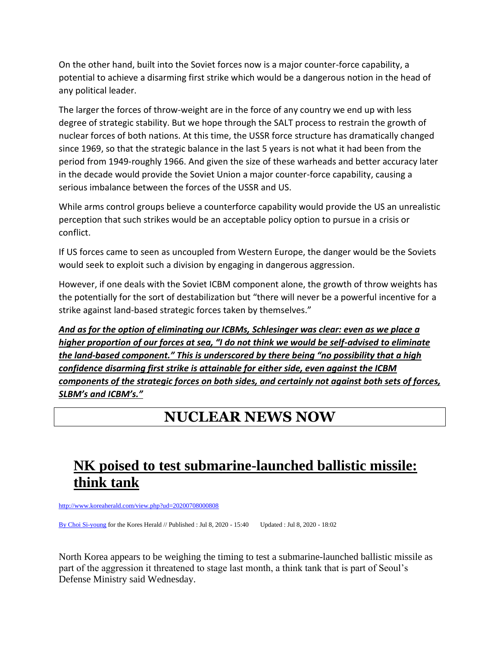On the other hand, built into the Soviet forces now is a major counter-force capability, a potential to achieve a disarming first strike which would be a dangerous notion in the head of any political leader.

The larger the forces of throw-weight are in the force of any country we end up with less degree of strategic stability. But we hope through the SALT process to restrain the growth of nuclear forces of both nations. At this time, the USSR force structure has dramatically changed since 1969, so that the strategic balance in the last 5 years is not what it had been from the period from 1949-roughly 1966. And given the size of these warheads and better accuracy later in the decade would provide the Soviet Union a major counter-force capability, causing a serious imbalance between the forces of the USSR and US.

While arms control groups believe a counterforce capability would provide the US an unrealistic perception that such strikes would be an acceptable policy option to pursue in a crisis or conflict.

If US forces came to seen as uncoupled from Western Europe, the danger would be the Soviets would seek to exploit such a division by engaging in dangerous aggression.

However, if one deals with the Soviet ICBM component alone, the growth of throw weights has the potentially for the sort of destabilization but "there will never be a powerful incentive for a strike against land-based strategic forces taken by themselves."

*And as for the option of eliminating our ICBMs, Schlesinger was clear: even as we place a higher proportion of our forces at sea, "I do not think we would be self-advised to eliminate the land-based component." This is underscored by there being "no possibility that a high confidence disarming first strike is attainable for either side, even against the ICBM components of the strategic forces on both sides, and certainly not against both sets of forces, SLBM's and ICBM's."*

### **NUCLEAR NEWS NOW**

## **NK poised to test submarine-launched ballistic missile: think tank**

[http://www.koreaherald.com/view.php?ud=20200708000808](https://nam03.safelinks.protection.outlook.com/?url=http%3A%2F%2Fwww.koreaherald.com%2Fview.php%3Fud%3D20200708000808&data=02%7C01%7C%7C23a794ce29de42c6617308d824df278c%7Cf859a9b6f0be470bab687d418ac3866c%7C0%7C0%7C637299888212658112&sdata=mpjNeHgYZCVe5A7pwDn7tkIDWm1BM8APt8GtTfhOwpQ%3D&reserved=0)

[By Choi Si-young](https://nam03.safelinks.protection.outlook.com/?url=http%3A%2F%2Fwww.koreaherald.com%2Fsearch%2Flist_name.php%3Fbyline%3DChoi%2BSi-young&data=02%7C01%7C%7C23a794ce29de42c6617308d824df278c%7Cf859a9b6f0be470bab687d418ac3866c%7C0%7C1%7C637299888212668106&sdata=pEYlnmQz2eIuLHUNx%2BKuxlUYbVeRKhGdHTFxneW%2Fs1o%3D&reserved=0) for the Kores Herald // Published : Jul 8, 2020 - 15:40 Updated : Jul 8, 2020 - 18:02

North Korea appears to be weighing the timing to test a submarine-launched ballistic missile as part of the aggression it threatened to stage last month, a think tank that is part of Seoul's Defense Ministry said Wednesday.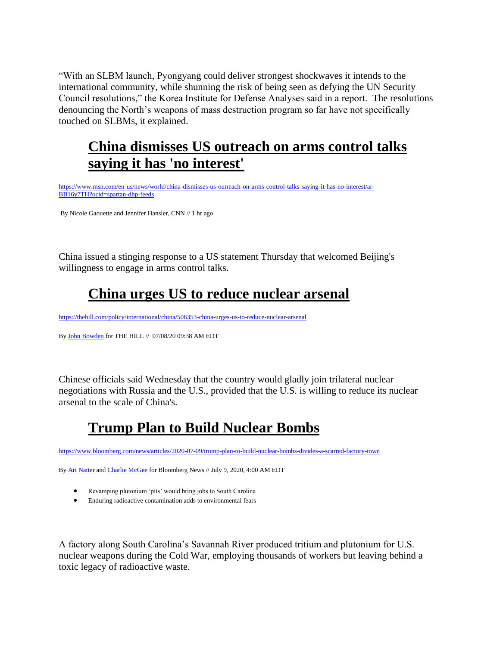"With an SLBM launch, Pyongyang could deliver strongest shockwaves it intends to the international community, while shunning the risk of being seen as defying the UN Security Council resolutions," the Korea Institute for Defense Analyses said in a report. The resolutions denouncing the North's weapons of mass destruction program so far have not specifically touched on SLBMs, it explained.

### **China dismisses US outreach on arms control talks saying it has 'no interest'**

[https://www.msn.com/en-us/news/world/china-dismisses-us-outreach-on-arms-control-talks-saying-it-has-no-interest/ar-](https://nam03.safelinks.protection.outlook.com/?url=https%3A%2F%2Fwww.msn.com%2Fen-us%2Fnews%2Fworld%2Fchina-dismisses-us-outreach-on-arms-control-talks-saying-it-has-no-interest%2Far-BB16y7TH%3Focid%3Dspartan-dhp-feeds&data=02%7C01%7C%7C23a794ce29de42c6617308d824df278c%7Cf859a9b6f0be470bab687d418ac3866c%7C0%7C0%7C637299888212678104&sdata=%2FQxS%2F%2BkAaWmvdE%2FzjwdnrIgAMIJH2%2FTX9jPEMSeb%2Bk4%3D&reserved=0)[BB16y7TH?ocid=spartan-dhp-feeds](https://nam03.safelinks.protection.outlook.com/?url=https%3A%2F%2Fwww.msn.com%2Fen-us%2Fnews%2Fworld%2Fchina-dismisses-us-outreach-on-arms-control-talks-saying-it-has-no-interest%2Far-BB16y7TH%3Focid%3Dspartan-dhp-feeds&data=02%7C01%7C%7C23a794ce29de42c6617308d824df278c%7Cf859a9b6f0be470bab687d418ac3866c%7C0%7C0%7C637299888212678104&sdata=%2FQxS%2F%2BkAaWmvdE%2FzjwdnrIgAMIJH2%2FTX9jPEMSeb%2Bk4%3D&reserved=0) 

By Nicole Gaouette and Jennifer Hansler, CNN // 1 hr ago

China issued a stinging response to a US statement Thursday that welcomed Beijing's willingness to engage in arms control talks.

## **China urges US to reduce nuclear arsenal**

[https://thehill.com/policy/international/china/506353-china-urges-us-to-reduce-nuclear-arsenal](https://nam03.safelinks.protection.outlook.com/?url=https%3A%2F%2Fthehill.com%2Fpolicy%2Finternational%2Fchina%2F506353-china-urges-us-to-reduce-nuclear-arsenal&data=02%7C01%7C%7C23a794ce29de42c6617308d824df278c%7Cf859a9b6f0be470bab687d418ac3866c%7C0%7C1%7C637299888212688093&sdata=uKnM64MnNy0SsAouoY7hf5F2GstlEAucVMAo1E6LkQ4%3D&reserved=0)

B[y John Bowden](https://nam03.safelinks.protection.outlook.com/?url=https%3A%2F%2Fthehill.com%2Fauthor%2Fjohn-bowden&data=02%7C01%7C%7C23a794ce29de42c6617308d824df278c%7Cf859a9b6f0be470bab687d418ac3866c%7C0%7C1%7C637299888212698087&sdata=gTWsSIZPKL30%2F%2Fi3Rq7oekHBMamKJRoNVKcPmQHNAoM%3D&reserved=0) for THE HILL // 07/08/20 09:38 AM EDT

Chinese officials said Wednesday that the country would gladly join trilateral nuclear negotiations with Russia and the U.S., provided that the U.S. is willing to reduce its nuclear arsenal to the scale of China's.

### **Trump Plan to Build Nuclear Bombs**

[https://www.bloomberg.com/news/articles/2020-07-09/trump-plan-to-build-nuclear-bombs-divides-a-scarred-factory-town](https://nam03.safelinks.protection.outlook.com/?url=https%3A%2F%2Fwww.bloomberg.com%2Fnews%2Farticles%2F2020-07-09%2Ftrump-plan-to-build-nuclear-bombs-divides-a-scarred-factory-town&data=02%7C01%7C%7C23a794ce29de42c6617308d824df278c%7Cf859a9b6f0be470bab687d418ac3866c%7C0%7C0%7C637299888212738065&sdata=NSi7N0GFPFvBWn3kJ7as0bW2zjOO9dXDi533lP6fGzc%3D&reserved=0)

B[y Ari Natter](https://nam03.safelinks.protection.outlook.com/?url=https%3A%2F%2Fwww.bloomberg.com%2Fauthors%2FATB37Z6gk7c%2Fari-natter&data=02%7C01%7C%7C23a794ce29de42c6617308d824df278c%7Cf859a9b6f0be470bab687d418ac3866c%7C0%7C0%7C637299888212748060&sdata=vcCVwQ%2F0OFraaRuLSsCXYgoUf2SM2mu2P7waRYmzm%2BM%3D&reserved=0) an[d Charlie McGee](https://nam03.safelinks.protection.outlook.com/?url=https%3A%2F%2Fwww.bloomberg.com%2Fauthors%2FAUy6D1q85wY%2Fcharlie-mcgee&data=02%7C01%7C%7C23a794ce29de42c6617308d824df278c%7Cf859a9b6f0be470bab687d418ac3866c%7C0%7C0%7C637299888212748060&sdata=h7YX%2BpQiSeNkb%2B%2BXFD2UdVa%2B5mxG3JjkHKcBtPIig60%3D&reserved=0) for Bloomberg News // July 9, 2020, 4:00 AM EDT

- Revamping plutonium 'pits' would bring jobs to South Carolina
- Enduring radioactive contamination adds to environmental fears

A factory along South Carolina's Savannah River produced tritium and plutonium for U.S. nuclear weapons during the Cold War, employing thousands of workers but leaving behind a toxic legacy of radioactive waste.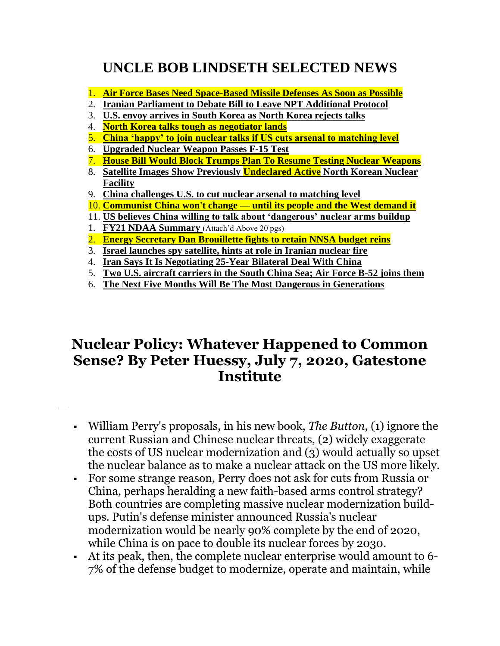## **UNCLE BOB LINDSETH SELECTED NEWS**

- 1. **Air Force Bases Need Space-Based Missile Defenses As Soon as Possible**
- 2. **Iranian Parliament to Debate Bill to Leave NPT Additional Protocol**
- 3. **U.S. envoy arrives in South Korea as North Korea rejects talks**
- 4. **North Korea talks tough as negotiator lands**
- 5. **China 'happy' to join nuclear talks if US cuts arsenal to matching level**
- 6. **Upgraded Nuclear Weapon Passes F-15 Test**
- 7. **House Bill Would Block Trumps Plan To Resume Testing Nuclear Weapons**
- 8. **Satellite Images Show Previously Undeclared Active North Korean Nuclear Facility**
- 9. **China challenges U.S. to cut nuclear arsenal to matching level**
- 10. **Communist China won't change — until its people and the West demand it**
- 11. **US believes China willing to talk about 'dangerous' nuclear arms buildup**
- 1. **FY21 NDAA Summary** (Attach'd Above 20 pgs)
- 2. **Energy Secretary Dan Brouillette fights to retain NNSA budget reins**
- 3. **Israel launches spy satellite, hints at role in Iranian nuclear fire**
- 4. **Iran Says It Is Negotiating 25-Year Bilateral Deal With China**
- 5. **Two U.S. aircraft carriers in the South China Sea; Air Force B-52 joins them**
- 6. **The Next Five Months Will Be The Most Dangerous in Generations**

### **Nuclear Policy: Whatever Happened to Common Sense? By Peter Huessy, July 7, 2020, Gatestone Institute**

- William Perry's proposals, in his new book, *The Button*, (1) ignore the current Russian and Chinese nuclear threats, (2) widely exaggerate the costs of US nuclear modernization and (3) would actually so upset the nuclear balance as to make a nuclear attack on the US more likely.
- For some strange reason, Perry does not ask for cuts from Russia or China, perhaps heralding a new faith-based arms control strategy? Both countries are completing massive nuclear modernization buildups. Putin's defense minister announced Russia's nuclear modernization would be nearly 90% complete by the end of 2020, while China is on pace to double its nuclear forces by 2030.
- At its peak, then, the complete nuclear enterprise would amount to 6- 7% of the defense budget to modernize, operate and maintain, while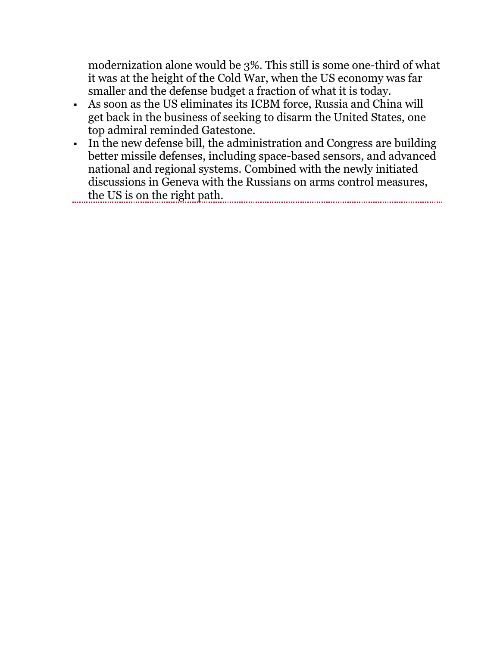modernization alone would be 3%. This still is some one-third of what it was at the height of the Cold War, when the US economy was far smaller and the defense budget a fraction of what it is today.

- As soon as the US eliminates its ICBM force, Russia and China will get back in the business of seeking to disarm the United States, one top admiral reminded Gatestone.
- In the new defense bill, the administration and Congress are building better missile defenses, including space-based sensors, and advanced national and regional systems. Combined with the newly initiated discussions in Geneva with the Russians on arms control measures, the US is on the right path.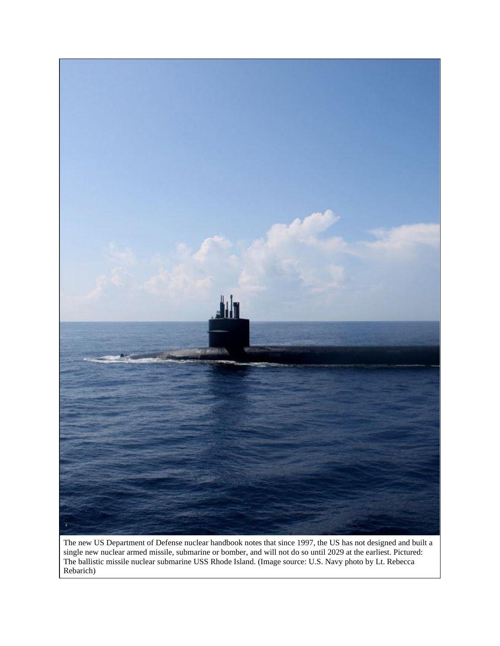

The new US Department of Defense nuclear handbook notes that since 1997, the US has not designed and built a single new nuclear armed missile, submarine or bomber, and will not do so until 2029 at the earliest. Pictured: The ballistic missile nuclear submarine USS Rhode Island. (Image source: U.S. Navy photo by Lt. Rebecca Rebarich)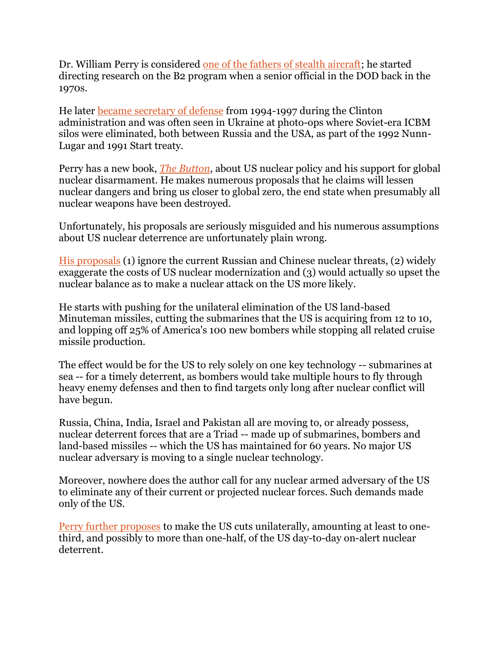Dr. William Perry is considered [one of the fathers of stealth aircraft;](https://www.csmonitor.com/1980/0825/082544.html) he started directing research on the B2 program when a senior official in the DOD back in the 1970s.

He later [became secretary of defense](https://www.politico.com/news/2020/06/04/mattis-clinton-perry-defense-301756) from 1994-1997 during the Clinton administration and was often seen in Ukraine at photo-ops where Soviet-era ICBM silos were eliminated, both between Russia and the USA, as part of the 1992 Nunn-Lugar and 1991 Start treaty.

Perry has a new book, *[The Button](https://thebulletin.org/2020/06/the-atomic-titanic-an-excerpt-from-the-button/)*, about US nuclear policy and his support for global nuclear disarmament. He makes numerous proposals that he claims will lessen nuclear dangers and bring us closer to global zero, the end state when presumably all nuclear weapons have been destroyed.

Unfortunately, his proposals are seriously misguided and his numerous assumptions about US nuclear deterrence are unfortunately plain wrong.

[His proposals](https://thebulletin.org/2020/06/the-atomic-titanic-an-excerpt-from-the-button/) (1) ignore the current Russian and Chinese nuclear threats, (2) widely exaggerate the costs of US nuclear modernization and (3) would actually so upset the nuclear balance as to make a nuclear attack on the US more likely.

He starts with pushing for the unilateral elimination of the US land-based Minuteman missiles, cutting the submarines that the US is acquiring from 12 to 10, and lopping off 25% of America's 100 new bombers while stopping all related cruise missile production.

The effect would be for the US to rely solely on one key technology -- submarines at sea -- for a timely deterrent, as bombers would take multiple hours to fly through heavy enemy defenses and then to find targets only long after nuclear conflict will have begun.

Russia, China, India, Israel and Pakistan all are moving to, or already possess, nuclear deterrent forces that are a Triad -- made up of submarines, bombers and land-based missiles -- which the US has maintained for 60 years. No major US nuclear adversary is moving to a single nuclear technology.

Moreover, nowhere does the author call for any nuclear armed adversary of the US to eliminate any of their current or projected nuclear forces. Such demands made only of the US.

[Perry further proposes](https://thebulletin.org/2020/06/the-atomic-titanic-an-excerpt-from-the-button/) to make the US cuts unilaterally, amounting at least to onethird, and possibly to more than one-half, of the US day-to-day on-alert nuclear deterrent.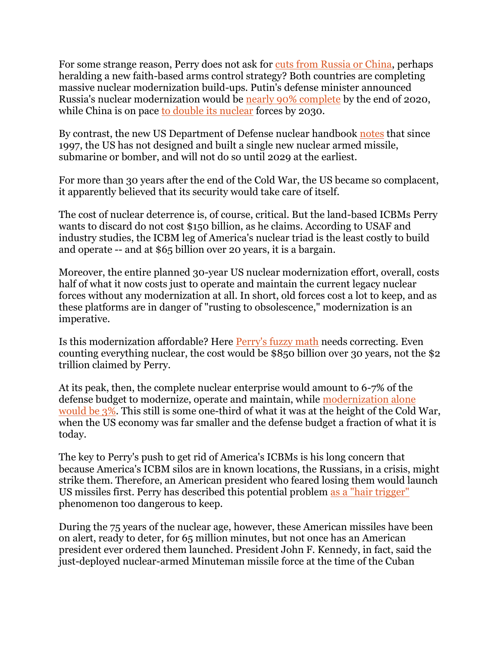For some strange reason, Perry does not ask for [cuts from Russia or China,](https://www.gatestoneinstitute.org/2071/united-states-eliminates-nuclear-weapons) perhaps heralding a new faith-based arms control strategy? Both countries are completing massive nuclear modernization build-ups. Putin's defense minister announced Russia's nuclear modernization would be [nearly 90% complete](https://sputniknews.com/military/202003251078706404-russias-nuclear-arsenal-to-be-87-modernized-by-end-of-2020--defence-minister/) by the end of 2020, while China is on pace [to double its nuclear](https://www.upi.com/Defense-News/2019/05/31/China-will-double-its-nuclear-warheads-in-next-10-years-DIA-chief-says/1621559319133/) forces by 2030.

By contrast, the new US Department of Defense nuclear handbook [notes](https://www.acq.osd.mil/ncbdp/nm/NMHB/index.htm) that since 1997, the US has not designed and built a single new nuclear armed missile, submarine or bomber, and will not do so until 2029 at the earliest.

For more than 30 years after the end of the Cold War, the US became so complacent, it apparently believed that its security would take care of itself.

The cost of nuclear deterrence is, of course, critical. But the land-based ICBMs Perry wants to discard do not cost \$150 billion, as he claims. According to USAF and industry studies, the ICBM leg of America's nuclear triad is the least costly to build and operate -- and at \$65 billion over 20 years, it is a bargain.

Moreover, the entire planned 30-year US nuclear modernization effort, overall, costs half of what it now costs just to operate and maintain the current legacy nuclear forces without any modernization at all. In short, old forces cost a lot to keep, and as these platforms are in danger of "rusting to obsolescence," modernization is an imperative.

Is this modernization affordable? Here [Perry's fuzzy math](https://thebulletin.org/2020/06/the-atomic-titanic-an-excerpt-from-the-button/) needs correcting. Even counting everything nuclear, the cost would be \$850 billion over 30 years, not the \$2 trillion claimed by Perry.

At its peak, then, the complete nuclear enterprise would amount to 6-7% of the defense budget to modernize, operate and maintain, while [modernization alone](https://www.gatestoneinstitute.org/14268/global-zero-nuclear-modernization)  [would be 3%.](https://www.gatestoneinstitute.org/14268/global-zero-nuclear-modernization) This still is some one-third of what it was at the height of the Cold War, when the US economy was far smaller and the defense budget a fraction of what it is today.

The key to Perry's push to get rid of America's ICBMs is his long concern that because America's ICBM silos are in known locations, the Russians, in a crisis, might strike them. Therefore, an American president who feared losing them would launch US missiles first. Perry has described this potential problem [as a "hair trigger"](https://www.defensenews.com/opinion/commentary/2016/04/01/nukes-icbms-and-unreasonable-fears-of-false-alarms/) phenomenon too dangerous to keep.

During the 75 years of the nuclear age, however, these American missiles have been on alert, ready to deter, for 65 million minutes, but not once has an American president ever ordered them launched. President John F. Kennedy, in fact, said the just-deployed nuclear-armed Minuteman missile force at the time of the Cuban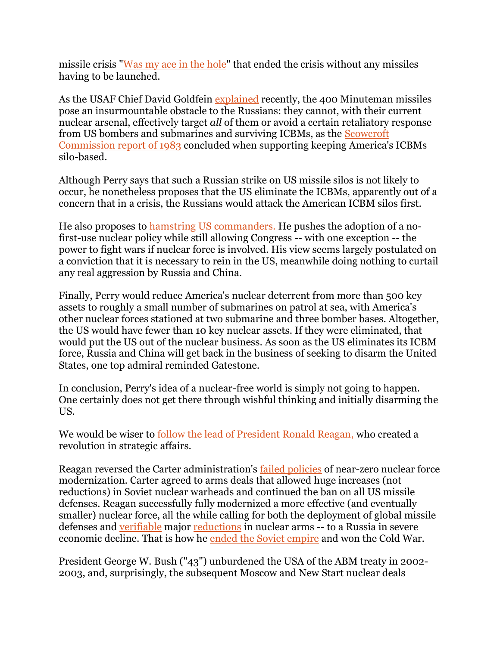missile crisis ["Was my ace in the hole"](https://americanprofile.com/articles/kennedy-calls-missile-program-the-nations-ace-in-the-hole/) that ended the crisis without any missiles having to be launched.

As the USAF Chief David Goldfein [explained](https://www.mitchellaerospacepower.org/aerospace-nation) recently, the 400 Minuteman missiles pose an insurmountable obstacle to the Russians: they cannot, with their current nuclear arsenal, effectively target *all* of them or avoid a certain retaliatory response from US bombers and submarines and surviving ICBMs, as the [Scowcroft](https://www.heritage.org/defense/report/one-cheer-the-scowcroft-commission)  [Commission report of 1983](https://www.heritage.org/defense/report/one-cheer-the-scowcroft-commission) concluded when supporting keeping America's ICBMs silo-based.

Although Perry says that such a Russian strike on US missile silos is not likely to occur, he nonetheless proposes that the US eliminate the ICBMs, apparently out of a concern that in a crisis, the Russians would attack the American ICBM silos first.

He also proposes to [hamstring US commanders.](https://www.gatestoneinstitute.org/13909/dangerous-nuclear-schemes) He pushes the adoption of a nofirst-use nuclear policy while still allowing Congress -- with one exception -- the power to fight wars if nuclear force is involved. His view seems largely postulated on a conviction that it is necessary to rein in the US, meanwhile doing nothing to curtail any real aggression by Russia and China.

Finally, Perry would reduce America's nuclear deterrent from more than 500 key assets to roughly a small number of submarines on patrol at sea, with America's other nuclear forces stationed at two submarine and three bomber bases. Altogether, the US would have fewer than 10 key nuclear assets. If they were eliminated, that would put the US out of the nuclear business. As soon as the US eliminates its ICBM force, Russia and China will get back in the business of seeking to disarm the United States, one top admiral reminded Gatestone.

In conclusion, Perry's idea of a nuclear-free world is simply not going to happen. One certainly does not get there through wishful thinking and initially disarming the US.

We would be wiser to [follow the lead of President Ronald Reagan,](https://www.gatestoneinstitute.org/15746/reagan-nuclear-legacy) who created a revolution in strategic affairs.

Reagan reversed the Carter administration's [failed policies](https://www.heritage.org/defense/report/carters-defense-budge) of near-zero nuclear force modernization. Carter agreed to arms deals that allowed huge increases (not reductions) in Soviet nuclear warheads and continued the ban on all US missile defenses. Reagan successfully fully modernized a more effective (and eventually smaller) nuclear force, all the while calling for both the deployment of global missile defenses and [verifiable](http://insidethecoldwar.org/sites/default/files/documents/GAC%20Report%20on%20Soviet%20Arms%20Control%20Compliance%20Practices%201958-1983%2C%20December%201983.pdf) major [reductions](http://insidethecoldwar.org/sites/default/files/documents/GAC%20Report%20on%20Soviet%20Arms%20Control%20Compliance%20Practices%201958-1983%2C%20December%201983.pdf) in nuclear arms -- to a Russia in severe economic decline. That is how he [ended the Soviet empire](https://www.heritage.org/defense/commentary/lesson) and won the Cold War.

President George W. Bush ("43") unburdened the USA of the ABM treaty in 2002- 2003, and, surprisingly, the subsequent Moscow and New Start nuclear deals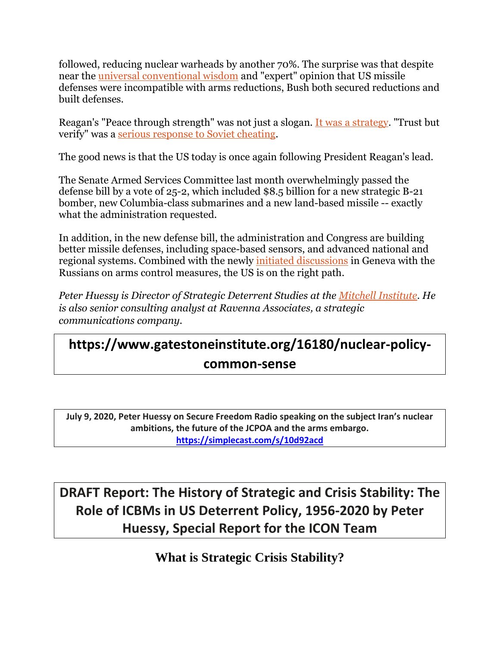followed, reducing nuclear warheads by another 70%. The surprise was that despite near the [universal conventional wisdom](https://www.brookings.edu/research/the-future-of-u-s-russian-arms-control) and "expert" opinion that US missile defenses were incompatible with arms reductions, Bush both secured reductions and built defenses.

Reagan's "Peace through strength" was not just a slogan. [It was a strategy.](https://www.gatestoneinstitute.org/15746/reagan-nuclear-legacy) "Trust but verify" was a [serious response to Soviet cheating.](https://nsarchive2.gwu.edu/NSAEBB/NSAEBB60/)

The good news is that the US today is once again following President Reagan's lead.

The Senate Armed Services Committee last month overwhelmingly passed the defense bill by a vote of 25-2, which included \$8.5 billion for a new strategic B-21 bomber, new Columbia-class submarines and a new land-based missile -- exactly what the administration requested.

In addition, in the new defense bill, the administration and Congress are building better missile defenses, including space-based sensors, and advanced national and regional systems. Combined with the newly [initiated discussions](https://nam03.safelinks.protection.outlook.com/?url=https%3A%2F%2Fwww.voanews.com%2Fs3%2Ffiles%2Fstyles%2Fsourced%2Fs3%2Fafp-image%2F2020%2F06%2F778720a760166e56c084936ebb1395690ecee469.jpg%3Fitok%3DuN3H4ozI&data=02%7C01%7C%7C49e1561e32884904d7cf08d8192a9c98%7Cf859a9b6f0be470bab687d418ac3866c%7C0%7C0%7C637287018121021315&sdata=TYrWk5aUvt85PMwT8tCUbwycfPHh8ednQfu7PGEi1BY%3D&reserved=0) in Geneva with the Russians on arms control measures, the US is on the right path.

*Peter Huessy is Director of Strategic Deterrent Studies at the [Mitchell Institute.](https://www.mitchellaerospacepower.org/) He is also senior consulting analyst at Ravenna Associates, a strategic communications company.*

## **https://www.gatestoneinstitute.org/16180/nuclear-policycommon-sense**

**July 9, 2020, Peter Huessy on Secure Freedom Radio speaking on the subject Iran's nuclear ambitions, the future of the JCPOA and the arms embargo. <https://simplecast.com/s/10d92acd>**

**DRAFT Report: The History of Strategic and Crisis Stability: The Role of ICBMs in US Deterrent Policy, 1956-2020 by Peter Huessy, Special Report for the ICON Team**

**What is Strategic Crisis Stability?**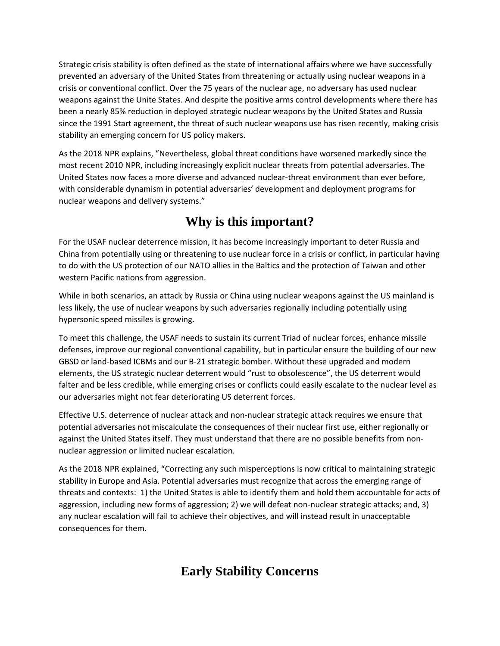Strategic crisis stability is often defined as the state of international affairs where we have successfully prevented an adversary of the United States from threatening or actually using nuclear weapons in a crisis or conventional conflict. Over the 75 years of the nuclear age, no adversary has used nuclear weapons against the Unite States. And despite the positive arms control developments where there has been a nearly 85% reduction in deployed strategic nuclear weapons by the United States and Russia since the 1991 Start agreement, the threat of such nuclear weapons use has risen recently, making crisis stability an emerging concern for US policy makers.

As the 2018 NPR explains, "Nevertheless, global threat conditions have worsened markedly since the most recent 2010 NPR, including increasingly explicit nuclear threats from potential adversaries. The United States now faces a more diverse and advanced nuclear-threat environment than ever before, with considerable dynamism in potential adversaries' development and deployment programs for nuclear weapons and delivery systems."

#### **Why is this important?**

For the USAF nuclear deterrence mission, it has become increasingly important to deter Russia and China from potentially using or threatening to use nuclear force in a crisis or conflict, in particular having to do with the US protection of our NATO allies in the Baltics and the protection of Taiwan and other western Pacific nations from aggression.

While in both scenarios, an attack by Russia or China using nuclear weapons against the US mainland is less likely, the use of nuclear weapons by such adversaries regionally including potentially using hypersonic speed missiles is growing.

To meet this challenge, the USAF needs to sustain its current Triad of nuclear forces, enhance missile defenses, improve our regional conventional capability, but in particular ensure the building of our new GBSD or land-based ICBMs and our B-21 strategic bomber. Without these upgraded and modern elements, the US strategic nuclear deterrent would "rust to obsolescence", the US deterrent would falter and be less credible, while emerging crises or conflicts could easily escalate to the nuclear level as our adversaries might not fear deteriorating US deterrent forces.

Effective U.S. deterrence of nuclear attack and non-nuclear strategic attack requires we ensure that potential adversaries not miscalculate the consequences of their nuclear first use, either regionally or against the United States itself. They must understand that there are no possible benefits from nonnuclear aggression or limited nuclear escalation.

As the 2018 NPR explained, "Correcting any such misperceptions is now critical to maintaining strategic stability in Europe and Asia. Potential adversaries must recognize that across the emerging range of threats and contexts: 1) the United States is able to identify them and hold them accountable for acts of aggression, including new forms of aggression; 2) we will defeat non-nuclear strategic attacks; and, 3) any nuclear escalation will fail to achieve their objectives, and will instead result in unacceptable consequences for them.

#### **Early Stability Concerns**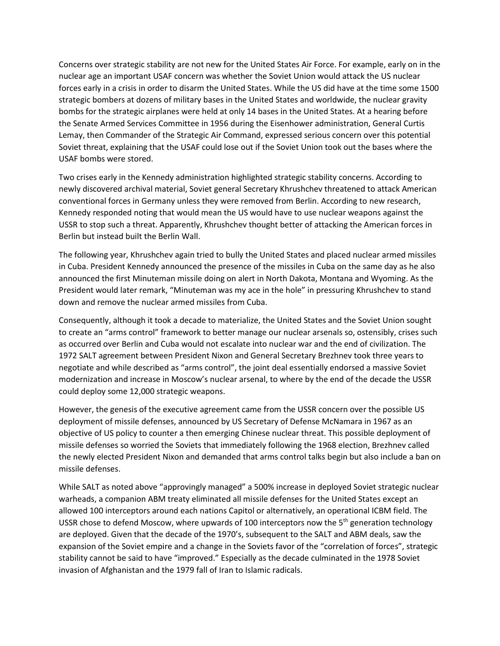Concerns over strategic stability are not new for the United States Air Force. For example, early on in the nuclear age an important USAF concern was whether the Soviet Union would attack the US nuclear forces early in a crisis in order to disarm the United States. While the US did have at the time some 1500 strategic bombers at dozens of military bases in the United States and worldwide, the nuclear gravity bombs for the strategic airplanes were held at only 14 bases in the United States. At a hearing before the Senate Armed Services Committee in 1956 during the Eisenhower administration, General Curtis Lemay, then Commander of the Strategic Air Command, expressed serious concern over this potential Soviet threat, explaining that the USAF could lose out if the Soviet Union took out the bases where the USAF bombs were stored.

Two crises early in the Kennedy administration highlighted strategic stability concerns. According to newly discovered archival material, Soviet general Secretary Khrushchev threatened to attack American conventional forces in Germany unless they were removed from Berlin. According to new research, Kennedy responded noting that would mean the US would have to use nuclear weapons against the USSR to stop such a threat. Apparently, Khrushchev thought better of attacking the American forces in Berlin but instead built the Berlin Wall.

The following year, Khrushchev again tried to bully the United States and placed nuclear armed missiles in Cuba. President Kennedy announced the presence of the missiles in Cuba on the same day as he also announced the first Minuteman missile doing on alert in North Dakota, Montana and Wyoming. As the President would later remark, "Minuteman was my ace in the hole" in pressuring Khrushchev to stand down and remove the nuclear armed missiles from Cuba.

Consequently, although it took a decade to materialize, the United States and the Soviet Union sought to create an "arms control" framework to better manage our nuclear arsenals so, ostensibly, crises such as occurred over Berlin and Cuba would not escalate into nuclear war and the end of civilization. The 1972 SALT agreement between President Nixon and General Secretary Brezhnev took three years to negotiate and while described as "arms control", the joint deal essentially endorsed a massive Soviet modernization and increase in Moscow's nuclear arsenal, to where by the end of the decade the USSR could deploy some 12,000 strategic weapons.

However, the genesis of the executive agreement came from the USSR concern over the possible US deployment of missile defenses, announced by US Secretary of Defense McNamara in 1967 as an objective of US policy to counter a then emerging Chinese nuclear threat. This possible deployment of missile defenses so worried the Soviets that immediately following the 1968 election, Brezhnev called the newly elected President Nixon and demanded that arms control talks begin but also include a ban on missile defenses.

While SALT as noted above "approvingly managed" a 500% increase in deployed Soviet strategic nuclear warheads, a companion ABM treaty eliminated all missile defenses for the United States except an allowed 100 interceptors around each nations Capitol or alternatively, an operational ICBM field. The USSR chose to defend Moscow, where upwards of 100 interceptors now the  $5<sup>th</sup>$  generation technology are deployed. Given that the decade of the 1970's, subsequent to the SALT and ABM deals, saw the expansion of the Soviet empire and a change in the Soviets favor of the "correlation of forces", strategic stability cannot be said to have "improved." Especially as the decade culminated in the 1978 Soviet invasion of Afghanistan and the 1979 fall of Iran to Islamic radicals.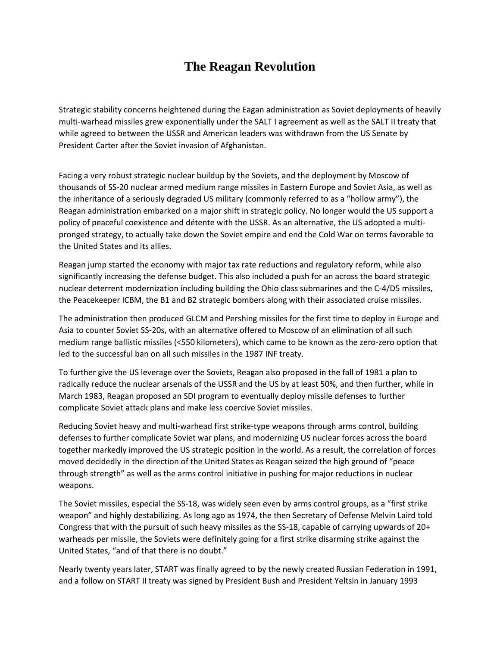#### **The Reagan Revolution**

Strategic stability concerns heightened during the Eagan administration as Soviet deployments of heavily multi-warhead missiles grew exponentially under the SALT I agreement as well as the SALT II treaty that while agreed to between the USSR and American leaders was withdrawn from the US Senate by President Carter after the Soviet invasion of Afghanistan.

Facing a very robust strategic nuclear buildup by the Soviets, and the deployment by Moscow of thousands of SS-20 nuclear armed medium range missiles in Eastern Europe and Soviet Asia, as well as the inheritance of a seriously degraded US military (commonly referred to as a "hollow army"), the Reagan administration embarked on a major shift in strategic policy. No longer would the US support a policy of peaceful coexistence and détente with the USSR. As an alternative, the US adopted a multipronged strategy, to actually take down the Soviet empire and end the Cold War on terms favorable to the United States and its allies.

Reagan jump started the economy with major tax rate reductions and regulatory reform, while also significantly increasing the defense budget. This also included a push for an across the board strategic nuclear deterrent modernization including building the Ohio class submarines and the C-4/D5 missiles, the Peacekeeper ICBM, the B1 and B2 strategic bombers along with their associated cruise missiles.

The administration then produced GLCM and Pershing missiles for the first time to deploy in Europe and Asia to counter Soviet SS-20s, with an alternative offered to Moscow of an elimination of all such medium range ballistic missiles (<550 kilometers), which came to be known as the zero-zero option that led to the successful ban on all such missiles in the 1987 INF treaty.

To further give the US leverage over the Soviets, Reagan also proposed in the fall of 1981 a plan to radically reduce the nuclear arsenals of the USSR and the US by at least 50%, and then further, while in March 1983, Reagan proposed an SDI program to eventually deploy missile defenses to further complicate Soviet attack plans and make less coercive Soviet missiles.

Reducing Soviet heavy and multi-warhead first strike-type weapons through arms control, building defenses to further complicate Soviet war plans, and modernizing US nuclear forces across the board together markedly improved the US strategic position in the world. As a result, the correlation of forces moved decidedly in the direction of the United States as Reagan seized the high ground of "peace through strength" as well as the arms control initiative in pushing for major reductions in nuclear weapons.

The Soviet missiles, especial the SS-18, was widely seen even by arms control groups, as a "first strike weapon" and highly destabilizing. As long ago as 1974, the then Secretary of Defense Melvin Laird told Congress that with the pursuit of such heavy missiles as the SS-18, capable of carrying upwards of 20+ warheads per missile, the Soviets were definitely going for a first strike disarming strike against the United States, "and of that there is no doubt."

Nearly twenty years later, START was finally agreed to by the newly created Russian Federation in 1991, and a follow on START II treaty was signed by President Bush and President Yeltsin in January 1993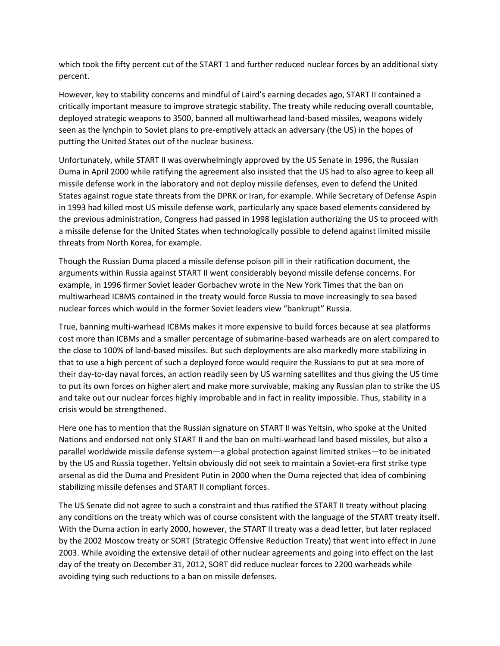which took the fifty percent cut of the START 1 and further reduced nuclear forces by an additional sixty percent.

However, key to stability concerns and mindful of Laird's earning decades ago, START II contained a critically important measure to improve strategic stability. The treaty while reducing overall countable, deployed strategic weapons to 3500, banned all multiwarhead land-based missiles, weapons widely seen as the lynchpin to Soviet plans to pre-emptively attack an adversary (the US) in the hopes of putting the United States out of the nuclear business.

Unfortunately, while START II was overwhelmingly approved by the US Senate in 1996, the Russian Duma in April 2000 while ratifying the agreement also insisted that the US had to also agree to keep all missile defense work in the laboratory and not deploy missile defenses, even to defend the United States against rogue state threats from the DPRK or Iran, for example. While Secretary of Defense Aspin in 1993 had killed most US missile defense work, particularly any space based elements considered by the previous administration, Congress had passed in 1998 legislation authorizing the US to proceed with a missile defense for the United States when technologically possible to defend against limited missile threats from North Korea, for example.

Though the Russian Duma placed a missile defense poison pill in their ratification document, the arguments within Russia against START II went considerably beyond missile defense concerns. For example, in 1996 firmer Soviet leader Gorbachev wrote in the New York Times that the ban on multiwarhead ICBMS contained in the treaty would force Russia to move increasingly to sea based nuclear forces which would in the former Soviet leaders view "bankrupt" Russia.

True, banning multi-warhead ICBMs makes it more expensive to build forces because at sea platforms cost more than ICBMs and a smaller percentage of submarine-based warheads are on alert compared to the close to 100% of land-based missiles. But such deployments are also markedly more stabilizing in that to use a high percent of such a deployed force would require the Russians to put at sea more of their day-to-day naval forces, an action readily seen by US warning satellites and thus giving the US time to put its own forces on higher alert and make more survivable, making any Russian plan to strike the US and take out our nuclear forces highly improbable and in fact in reality impossible. Thus, stability in a crisis would be strengthened.

Here one has to mention that the Russian signature on START II was Yeltsin, who spoke at the United Nations and endorsed not only START II and the ban on multi-warhead land based missiles, but also a parallel worldwide missile defense system—a global protection against limited strikes—to be initiated by the US and Russia together. Yeltsin obviously did not seek to maintain a Soviet-era first strike type arsenal as did the Duma and President Putin in 2000 when the Duma rejected that idea of combining stabilizing missile defenses and START II compliant forces.

The US Senate did not agree to such a constraint and thus ratified the START II treaty without placing any conditions on the treaty which was of course consistent with the language of the START treaty itself. With the Duma action in early 2000, however, the START II treaty was a dead letter, but later replaced by the 2002 Moscow treaty or SORT (Strategic Offensive Reduction Treaty) that went into effect in June 2003. While avoiding the extensive detail of other nuclear agreements and going into effect on the last day of the treaty on December 31, 2012, SORT did reduce nuclear forces to 2200 warheads while avoiding tying such reductions to a ban on missile defenses.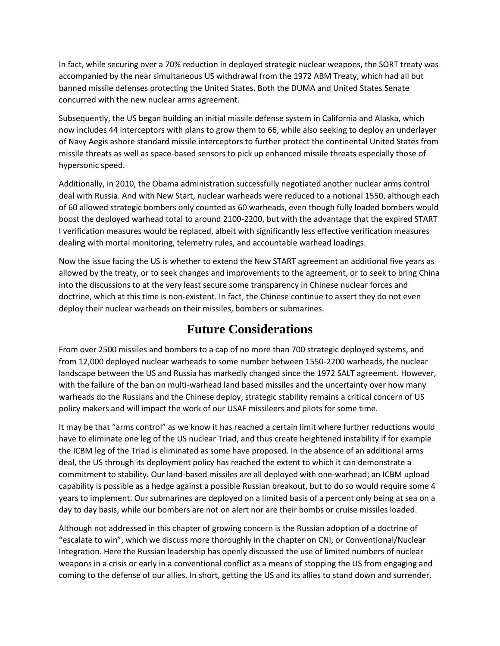In fact, while securing over a 70% reduction in deployed strategic nuclear weapons, the SORT treaty was accompanied by the near simultaneous US withdrawal from the 1972 ABM Treaty, which had all but banned missile defenses protecting the United States. Both the DUMA and United States Senate concurred with the new nuclear arms agreement.

Subsequently, the US began building an initial missile defense system in California and Alaska, which now includes 44 interceptors with plans to grow them to 66, while also seeking to deploy an underlayer of Navy Aegis ashore standard missile interceptors to further protect the continental United States from missile threats as well as space-based sensors to pick up enhanced missile threats especially those of hypersonic speed.

Additionally, in 2010, the Obama administration successfully negotiated another nuclear arms control deal with Russia. And with New Start, nuclear warheads were reduced to a notional 1550, although each of 60 allowed strategic bombers only counted as 60 warheads, even though fully loaded bombers would boost the deployed warhead total to around 2100-2200, but with the advantage that the expired START I verification measures would be replaced, albeit with significantly less effective verification measures dealing with mortal monitoring, telemetry rules, and accountable warhead loadings.

Now the issue facing the US is whether to extend the New START agreement an additional five years as allowed by the treaty, or to seek changes and improvements to the agreement, or to seek to bring China into the discussions to at the very least secure some transparency in Chinese nuclear forces and doctrine, which at this time is non-existent. In fact, the Chinese continue to assert they do not even deploy their nuclear warheads on their missiles, bombers or submarines.

#### **Future Considerations**

From over 2500 missiles and bombers to a cap of no more than 700 strategic deployed systems, and from 12,000 deployed nuclear warheads to some number between 1550-2200 warheads, the nuclear landscape between the US and Russia has markedly changed since the 1972 SALT agreement. However, with the failure of the ban on multi-warhead land based missiles and the uncertainty over how many warheads do the Russians and the Chinese deploy, strategic stability remains a critical concern of US policy makers and will impact the work of our USAF missileers and pilots for some time.

It may be that "arms control" as we know it has reached a certain limit where further reductions would have to eliminate one leg of the US nuclear Triad, and thus create heightened instability if for example the ICBM leg of the Triad is eliminated as some have proposed. In the absence of an additional arms deal, the US through its deployment policy has reached the extent to which it can demonstrate a commitment to stability. Our land-based missiles are all deployed with one-warhead; an ICBM upload capability is possible as a hedge against a possible Russian breakout, but to do so would require some 4 years to implement. Our submarines are deployed on a limited basis of a percent only being at sea on a day to day basis, while our bombers are not on alert nor are their bombs or cruise missiles loaded.

Although not addressed in this chapter of growing concern is the Russian adoption of a doctrine of "escalate to win", which we discuss more thoroughly in the chapter on CNI, or Conventional/Nuclear Integration. Here the Russian leadership has openly discussed the use of limited numbers of nuclear weapons in a crisis or early in a conventional conflict as a means of stopping the US from engaging and coming to the defense of our allies. In short, getting the US and its allies to stand down and surrender.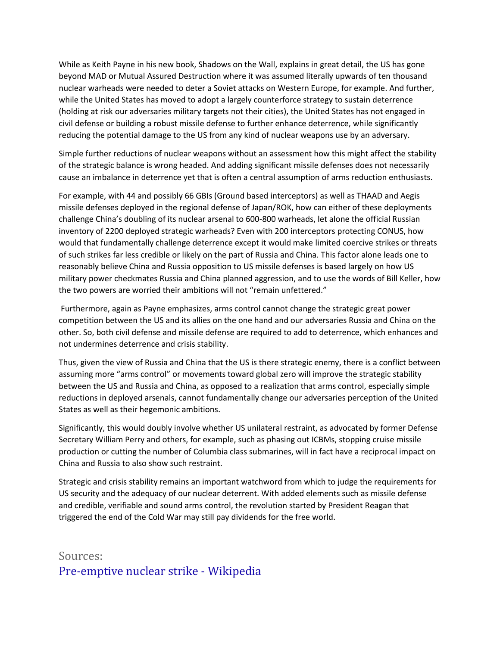While as Keith Payne in his new book, Shadows on the Wall, explains in great detail, the US has gone beyond MAD or Mutual Assured Destruction where it was assumed literally upwards of ten thousand nuclear warheads were needed to deter a Soviet attacks on Western Europe, for example. And further, while the United States has moved to adopt a largely counterforce strategy to sustain deterrence (holding at risk our adversaries military targets not their cities), the United States has not engaged in civil defense or building a robust missile defense to further enhance deterrence, while significantly reducing the potential damage to the US from any kind of nuclear weapons use by an adversary.

Simple further reductions of nuclear weapons without an assessment how this might affect the stability of the strategic balance is wrong headed. And adding significant missile defenses does not necessarily cause an imbalance in deterrence yet that is often a central assumption of arms reduction enthusiasts.

For example, with 44 and possibly 66 GBIs (Ground based interceptors) as well as THAAD and Aegis missile defenses deployed in the regional defense of Japan/ROK, how can either of these deployments challenge China's doubling of its nuclear arsenal to 600-800 warheads, let alone the official Russian inventory of 2200 deployed strategic warheads? Even with 200 interceptors protecting CONUS, how would that fundamentally challenge deterrence except it would make limited coercive strikes or threats of such strikes far less credible or likely on the part of Russia and China. This factor alone leads one to reasonably believe China and Russia opposition to US missile defenses is based largely on how US military power checkmates Russia and China planned aggression, and to use the words of Bill Keller, how the two powers are worried their ambitions will not "remain unfettered."

Furthermore, again as Payne emphasizes, arms control cannot change the strategic great power competition between the US and its allies on the one hand and our adversaries Russia and China on the other. So, both civil defense and missile defense are required to add to deterrence, which enhances and not undermines deterrence and crisis stability.

Thus, given the view of Russia and China that the US is there strategic enemy, there is a conflict between assuming more "arms control" or movements toward global zero will improve the strategic stability between the US and Russia and China, as opposed to a realization that arms control, especially simple reductions in deployed arsenals, cannot fundamentally change our adversaries perception of the United States as well as their hegemonic ambitions.

Significantly, this would doubly involve whether US unilateral restraint, as advocated by former Defense Secretary William Perry and others, for example, such as phasing out ICBMs, stopping cruise missile production or cutting the number of Columbia class submarines, will in fact have a reciprocal impact on China and Russia to also show such restraint.

Strategic and crisis stability remains an important watchword from which to judge the requirements for US security and the adequacy of our nuclear deterrent. With added elements such as missile defense and credible, verifiable and sound arms control, the revolution started by President Reagan that triggered the end of the Cold War may still pay dividends for the free world.

Sources: [Pre-emptive nuclear strike -](https://en.wikipedia.org/wiki/First_strike) Wikipedia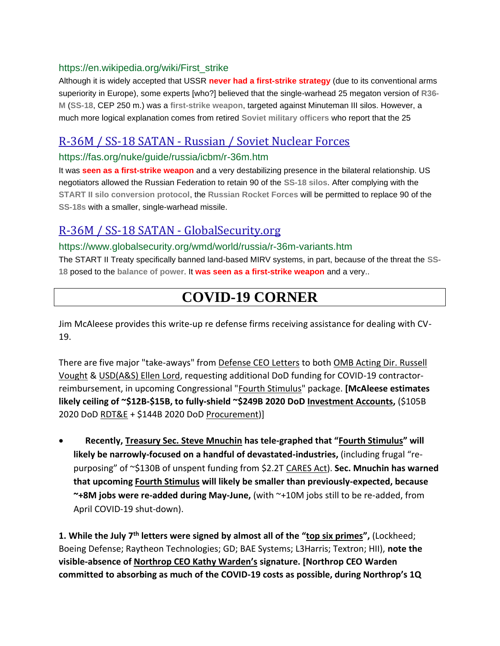#### https://en.wikipedia.org/wiki/First\_strike

Although it is widely accepted that USSR **never had a first-strike strategy** (due to its conventional arms superiority in Europe), some experts [who?] believed that the single-warhead 25 megaton version of **R36- M** (**SS-18**, CEP 250 m.) was a **first-strike weapon**, targeted against Minuteman III silos. However, a much more logical explanation comes from retired **Soviet military officers** who report that the 25

#### R-36M / SS-18 SATAN - [Russian / Soviet Nuclear Forces](https://fas.org/nuke/guide/russia/icbm/r-36m.htm)

#### https://fas.org/nuke/guide/russia/icbm/r-36m.htm

It was **seen as a first-strike weapon** and a very destabilizing presence in the bilateral relationship. US negotiators allowed the Russian Federation to retain 90 of the **SS-18 silos**. After complying with the **START II silo conversion protocol**, the **Russian Rocket Forces** will be permitted to replace 90 of the **SS-18s** with a smaller, single-warhead missile.

#### [R-36M / SS-18 SATAN -](https://www.globalsecurity.org/wmd/world/russia/r-36m-variants.htm) GlobalSecurity.org

#### https://www.globalsecurity.org/wmd/world/russia/r-36m-variants.htm

The START II Treaty specifically banned land-based MIRV systems, in part, because of the threat the **SS-18** posed to the **balance of power**. It **was seen as a first-strike weapon** and a very..

#### **COVID-19 CORNER**

Jim McAleese provides this write-up re defense firms receiving assistance for dealing with CV-19.

There are five major "take-aways" from Defense CEO Letters to both OMB Acting Dir. Russell Vought & USD(A&S) Ellen Lord, requesting additional DoD funding for COVID-19 contractorreimbursement, in upcoming Congressional "Fourth Stimulus" package. **[McAleese estimates likely ceiling of ~\$12B-\$15B, to fully-shield ~\$249B 2020 DoD Investment Accounts,** (\$105B 2020 DoD RDT&E + \$144B 2020 DoD Procurement)]

• **Recently, Treasury Sec. Steve Mnuchin has tele-graphed that "Fourth Stimulus" will likely be narrowly-focused on a handful of devastated-industries,** (including frugal "repurposing" of ~\$130B of unspent funding from \$2.2T CARES Act). **Sec. Mnuchin has warned that upcoming Fourth Stimulus will likely be smaller than previously-expected, because ~+8M jobs were re-added during May-June,** (with ~+10M jobs still to be re-added, from April COVID-19 shut-down).

**1. While the July 7th letters were signed by almost all of the "top six primes",** (Lockheed; Boeing Defense; Raytheon Technologies; GD; BAE Systems; L3Harris; Textron; HII), **note the visible-absence of Northrop CEO Kathy Warden's signature. [Northrop CEO Warden committed to absorbing as much of the COVID-19 costs as possible, during Northrop's 1Q**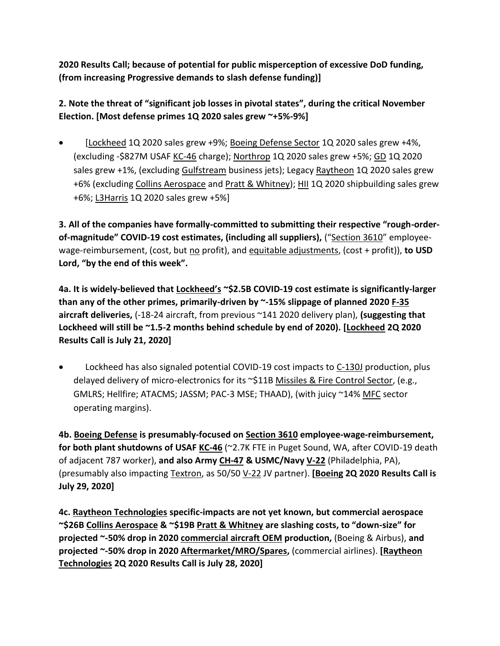**2020 Results Call; because of potential for public misperception of excessive DoD funding, (from increasing Progressive demands to slash defense funding)]**

**2. Note the threat of "significant job losses in pivotal states", during the critical November Election. [Most defense primes 1Q 2020 sales grew ~+5%-9%]**

[Lockheed 1Q 2020 sales grew +9%; Boeing Defense Sector 1Q 2020 sales grew +4%, (excluding -\$827M USAF KC-46 charge); Northrop 1Q 2020 sales grew +5%; GD 1Q 2020 sales grew +1%, (excluding Gulfstream business jets); Legacy Raytheon 1Q 2020 sales grew +6% (excluding Collins Aerospace and Pratt & Whitney); HII 1Q 2020 shipbuilding sales grew +6%; L3Harris 1Q 2020 sales grew +5%]

**3. All of the companies have formally-committed to submitting their respective "rough-orderof-magnitude" COVID-19 cost estimates, (including all suppliers),** ("Section 3610" employeewage-reimbursement, (cost, but no profit), and equitable adjustments, (cost + profit)), to USD **Lord, "by the end of this week".**

**4a. It is widely-believed that Lockheed's ~\$2.5B COVID-19 cost estimate is significantly-larger than any of the other primes, primarily-driven by ~-15% slippage of planned 2020 F-35 aircraft deliveries,** (-18-24 aircraft, from previous ~141 2020 delivery plan), **(suggesting that Lockheed will still be ~1.5-2 months behind schedule by end of 2020). [Lockheed 2Q 2020 Results Call is July 21, 2020]**

Lockheed has also signaled potential COVID-19 cost impacts to C-130J production, plus delayed delivery of micro-electronics for its ~\$11B Missiles & Fire Control Sector, (e.g., GMLRS; Hellfire; ATACMS; JASSM; PAC-3 MSE; THAAD), (with juicy ~14% MFC sector operating margins).

**4b. Boeing Defense is presumably-focused on Section 3610 employee-wage-reimbursement, for both plant shutdowns of USAF KC-46** (~2.7K FTE in Puget Sound, WA, after COVID-19 death of adjacent 787 worker), **and also Army CH-47 & USMC/Navy V-22** (Philadelphia, PA), (presumably also impacting Textron, as 50/50 V-22 JV partner). **[Boeing 2Q 2020 Results Call is July 29, 2020]**

**4c. Raytheon Technologies specific-impacts are not yet known, but commercial aerospace ~\$26B Collins Aerospace & ~\$19B Pratt & Whitney are slashing costs, to "down-size" for projected ~-50% drop in 2020 commercial aircraft OEM production,** (Boeing & Airbus), **and projected ~-50% drop in 2020 Aftermarket/MRO/Spares,** (commercial airlines). **[Raytheon Technologies 2Q 2020 Results Call is July 28, 2020]**